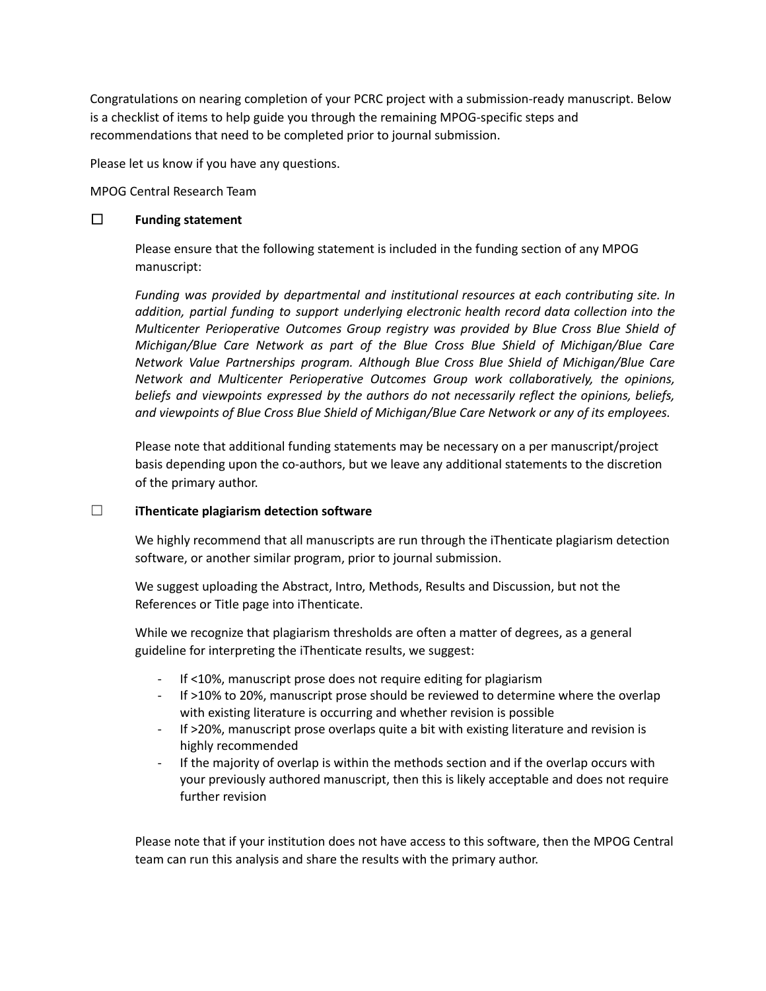Congratulations on nearing completion of your PCRC project with a submission-ready manuscript. Below is a checklist of items to help guide you through the remaining MPOG-specific steps and recommendations that need to be completed prior to journal submission.

Please let us know if you have any questions.

MPOG Central Research Team

### ☐ **Funding statement**

Please ensure that the following statement is included in the funding section of any MPOG manuscript:

*Funding was provided by departmental and institutional resources at each contributing site. In addition, partial funding to support underlying electronic health record data collection into the Multicenter Perioperative Outcomes Group registry was provided by Blue Cross Blue Shield of Michigan/Blue Care Network as part of the Blue Cross Blue Shield of Michigan/Blue Care Network Value Partnerships program. Although Blue Cross Blue Shield of Michigan/Blue Care Network and Multicenter Perioperative Outcomes Group work collaboratively, the opinions, beliefs and viewpoints expressed by the authors do not necessarily reflect the opinions, beliefs, and viewpoints of Blue Cross Blue Shield of Michigan/Blue Care Network or any of its employees.*

Please note that additional funding statements may be necessary on a per manuscript/project basis depending upon the co-authors, but we leave any additional statements to the discretion of the primary author.

#### ☐ **iThenticate plagiarism detection software**

We highly recommend that all manuscripts are run through the iThenticate plagiarism detection software, or another similar program, prior to journal submission.

We suggest uploading the Abstract, Intro, Methods, Results and Discussion, but not the References or Title page into iThenticate.

While we recognize that plagiarism thresholds are often a matter of degrees, as a general guideline for interpreting the iThenticate results, we suggest:

- If <10%, manuscript prose does not require editing for plagiarism
- If >10% to 20%, manuscript prose should be reviewed to determine where the overlap with existing literature is occurring and whether revision is possible
- If >20%, manuscript prose overlaps quite a bit with existing literature and revision is highly recommended
- If the majority of overlap is within the methods section and if the overlap occurs with your previously authored manuscript, then this is likely acceptable and does not require further revision

Please note that if your institution does not have access to this software, then the MPOG Central team can run this analysis and share the results with the primary author.